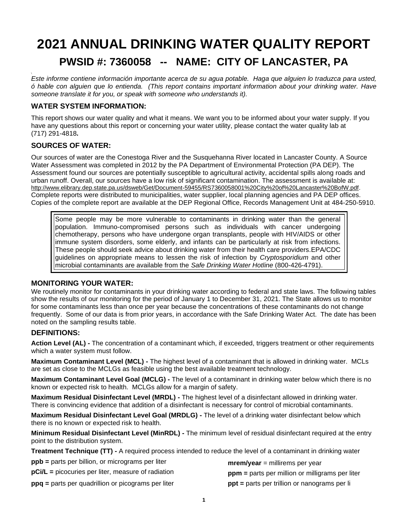# **2021 ANNUAL DRINKING WATER QUALITY REPORT PWSID #: 7360058 -- NAME: CITY OF LANCASTER, PA**

**\** *Este informe contiene información importante acerca de su agua potable. Haga que alguien lo traduzca para usted, ó hable con alguien que lo entienda. (This report contains important information about your drinking water. Have someone translate it for you, or speak with someone who understands it).*

## **WATER SYSTEM INFORMATION:**

This report shows our water quality and what it means. We want you to be informed about your water supply. If you have any questions about this report or concerning your water utility, please contact the water quality lab at (717) 291-4818**.**

## **SOURCES OF WATER:**

Our sources of water are the Conestoga River and the Susquehanna River located in Lancaster County. A Source Water Assessment was completed in 2012 by the PA Department of Environmental Protection (PA DEP). The Assessment found our sources are potentially susceptible to agricultural activity, accidental spills along roads and urban runoff. Overall, our sources have a low risk of significant contamination. The assessment is available at: [http://www.elibrary.dep.state.pa.us/dsweb/Get/Document-59455/RS7360058001%20City%20of%20Lancaster%20BofW.pdf.](http://www.elibrary.dep.state.pa.us/dsweb/Get/Document-59455/RS7360058001%20City%20of%20Lancaster%20BofW.pdf) Complete reports were distributed to municipalities, water supplier, local planning agencies and PA DEP offices. Copies of the complete report are available at the DEP Regional Office, Records Management Unit at 484-250-5910.

Some people may be more vulnerable to contaminants in drinking water than the general population. Immuno-compromised persons such as individuals with cancer undergoing chemotherapy, persons who have undergone organ transplants, people with HIV/AIDS or other immune system disorders, some elderly, and infants can be particularly at risk from infections. These people should seek advice about drinking water from their health care providers.EPA/CDC guidelines on appropriate means to lessen the risk of infection by *Cryptosporidium* and other microbial contaminants are available from the *Safe Drinking Water Hotline* (800-426-4791).

## **MONITORING YOUR WATER:**

We routinely monitor for contaminants in your drinking water according to federal and state laws. The following tables show the results of our monitoring for the period of January 1 to December 31, 2021. The State allows us to monitor for some contaminants less than once per year because the concentrations of these contaminants do not change frequently. Some of our data is from prior years, in accordance with the Safe Drinking Water Act. The date has been noted on the sampling results table.

## **DEFINITIONS:**

**Action Level (AL) -** The concentration of a contaminant which, if exceeded, triggers treatment or other requirements which a water system must follow.

**Maximum Contaminant Level (MCL) -** The highest level of a contaminant that is allowed in drinking water. MCLs are set as close to the MCLGs as feasible using the best available treatment technology.

**Maximum Contaminant Level Goal (MCLG) -** The level of a contaminant in drinking water below which there is no known or expected risk to health. MCLGs allow for a margin of safety.

**Maximum Residual Disinfectant Level (MRDL) -** The highest level of a disinfectant allowed in drinking water. There is convincing evidence that addition of a disinfectant is necessary for control of microbial contaminants.

**Maximum Residual Disinfectant Level Goal (MRDLG) -** The level of a drinking water disinfectant below which there is no known or expected risk to health.

**Minimum Residual Disinfectant Level (MinRDL) -** The minimum level of residual disinfectant required at the entry point to the distribution system.

**Treatment Technique (TT) -** A required process intended to reduce the level of a contaminant in drinking water

| <b>ppb</b> = parts per billion, or micrograms per liter | $merm/year = millirems per year$                        |
|---------------------------------------------------------|---------------------------------------------------------|
| $pCi/L =$ picocuries per liter, measure of radiation    | $ppm$ = parts per million or milligrams per liter       |
| $ppq$ = parts per quadrillion or picograms per liter    | $\mathbf{ppt}$ = parts per trillion or nanograms per li |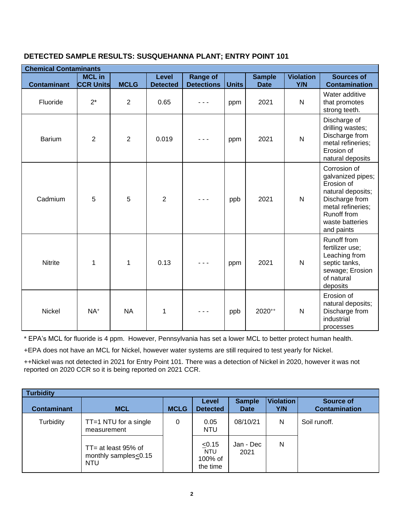## **DETECTED SAMPLE RESULTS: SUSQUEHANNA PLANT; ENTRY POINT 101**

| <b>Chemical Contaminants</b> |                                   |                |                                 |                                      |              |                              |                         |                                                                                                                                                                    |
|------------------------------|-----------------------------------|----------------|---------------------------------|--------------------------------------|--------------|------------------------------|-------------------------|--------------------------------------------------------------------------------------------------------------------------------------------------------------------|
| <b>Contaminant</b>           | <b>MCL in</b><br><b>CCR Units</b> | <b>MCLG</b>    | <b>Level</b><br><b>Detected</b> | <b>Range of</b><br><b>Detections</b> | <b>Units</b> | <b>Sample</b><br><b>Date</b> | <b>Violation</b><br>Y/N | <b>Sources of</b><br><b>Contamination</b>                                                                                                                          |
| Fluoride                     | $2^*$                             | $\overline{2}$ | 0.65                            |                                      | ppm          | 2021                         | $\mathsf{N}$            | Water additive<br>that promotes<br>strong teeth.                                                                                                                   |
| <b>Barium</b>                | $\overline{2}$                    | $\overline{2}$ | 0.019                           |                                      | ppm          | 2021                         | $\overline{\mathsf{N}}$ | Discharge of<br>drilling wastes;<br>Discharge from<br>metal refineries;<br>Erosion of<br>natural deposits                                                          |
| Cadmium                      | 5                                 | 5              | $\overline{2}$                  |                                      | ppb          | 2021                         | N                       | Corrosion of<br>galvanized pipes;<br>Erosion of<br>natural deposits;<br>Discharge from<br>metal refineries;<br><b>Runoff from</b><br>waste batteries<br>and paints |
| <b>Nitrite</b>               | 1                                 | 1              | 0.13                            |                                      | ppm          | 2021                         | N                       | Runoff from<br>fertilizer use;<br>Leaching from<br>septic tanks,<br>sewage; Erosion<br>of natural<br>deposits                                                      |
| Nickel                       | NA <sup>+</sup>                   | <b>NA</b>      | 1                               |                                      | ppb          | 2020++                       | $\mathsf{N}$            | Erosion of<br>natural deposits;<br>Discharge from<br>industrial<br>processes                                                                                       |

\* EPA's MCL for fluoride is 4 ppm. However, Pennsylvania has set a lower MCL to better protect human health.

+EPA does not have an MCL for Nickel, however water systems are still required to test yearly for Nickel.

++Nickel was not detected in 2021 for Entry Point 101. There was a detection of Nickel in 2020, however it was not reported on 2020 CCR so it is being reported on 2021 CCR.

| <b>Turbidity</b>   |                                                              |             |                                             |                              |                         |                                   |  |  |  |  |  |  |
|--------------------|--------------------------------------------------------------|-------------|---------------------------------------------|------------------------------|-------------------------|-----------------------------------|--|--|--|--|--|--|
| <b>Contaminant</b> | <b>MCL</b>                                                   | <b>MCLG</b> | Level<br><b>Detected</b>                    | <b>Sample</b><br><b>Date</b> | <b>Violation</b><br>Y/N | Source of<br><b>Contamination</b> |  |  |  |  |  |  |
| Turbidity          | $TT = 1 NTU$ for a single<br>measurement                     | 0           | 0.05<br><b>NTU</b>                          | 08/10/21                     | N                       | Soil runoff.                      |  |  |  |  |  |  |
|                    | $TT = at least 95% of$<br>monthly samples<0.15<br><b>NTU</b> |             | < 0.15<br><b>NTU</b><br>100% of<br>the time | Jan - Dec<br>2021            | N                       |                                   |  |  |  |  |  |  |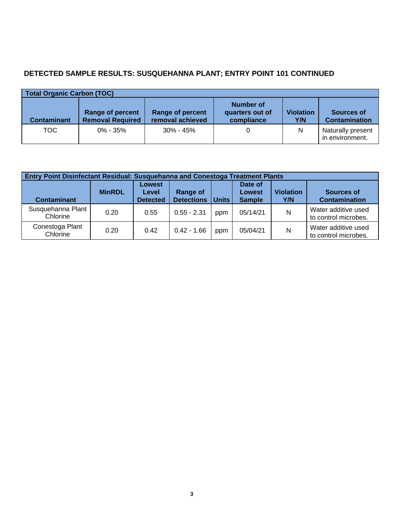## **DETECTED SAMPLE RESULTS: SUSQUEHANNA PLANT; ENTRY POINT 101 CONTINUED**

| <b>Total Organic Carbon (TOC)</b> |                                             |                                             |                                            |                         |                                      |  |  |  |  |  |  |
|-----------------------------------|---------------------------------------------|---------------------------------------------|--------------------------------------------|-------------------------|--------------------------------------|--|--|--|--|--|--|
| <b>Contaminant</b>                | Range of percent<br><b>Removal Required</b> | <b>Range of percent</b><br>removal achieved | Number of<br>quarters out of<br>compliance | <b>Violation</b><br>Y/N | Sources of<br><b>Contamination</b>   |  |  |  |  |  |  |
| TOC.                              | $0\% - 35\%$                                | $30\% - 45\%$                               |                                            | N                       | Naturally present<br>in environment. |  |  |  |  |  |  |

|                               | Entry Point Disinfectant Residual: Susquehanna and Conestoga Treatment Plants |                                    |                               |              |                                    |                         |                                             |  |  |  |  |  |
|-------------------------------|-------------------------------------------------------------------------------|------------------------------------|-------------------------------|--------------|------------------------------------|-------------------------|---------------------------------------------|--|--|--|--|--|
| <b>Contaminant</b>            | <b>MinRDL</b>                                                                 | Lowest<br>Level<br><b>Detected</b> | Range of<br><b>Detections</b> | <b>Units</b> | Date of<br>Lowest<br><b>Sample</b> | <b>Violation</b><br>Y/N | Sources of<br><b>Contamination</b>          |  |  |  |  |  |
| Susquehanna Plant<br>Chlorine | 0.20                                                                          | 0.55                               | $0.55 - 2.31$                 | ppm          | 05/14/21                           | N                       | Water additive used<br>to control microbes. |  |  |  |  |  |
| Conestoga Plant<br>Chlorine   | 0.20                                                                          | 0.42                               | $0.42 - 1.66$                 | ppm          | 05/04/21                           | N                       | Water additive used<br>to control microbes. |  |  |  |  |  |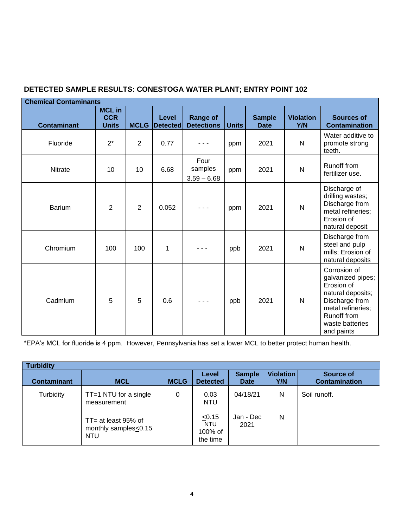| <b>Chemical Contaminants</b> |                                             |             |                          |                                      |              |                              |                         |                                                                                                                                                             |
|------------------------------|---------------------------------------------|-------------|--------------------------|--------------------------------------|--------------|------------------------------|-------------------------|-------------------------------------------------------------------------------------------------------------------------------------------------------------|
| <b>Contaminant</b>           | <b>MCL in</b><br><b>CCR</b><br><b>Units</b> | <b>MCLG</b> | <b>Level</b><br>Detected | <b>Range of</b><br><b>Detections</b> | <b>Units</b> | <b>Sample</b><br><b>Date</b> | <b>Violation</b><br>Y/N | <b>Sources of</b><br><b>Contamination</b>                                                                                                                   |
| Fluoride                     | $2^*$                                       | 2           | 0.77                     |                                      | ppm          | 2021                         | $\mathsf{N}$            | Water additive to<br>promote strong<br>teeth.                                                                                                               |
| Nitrate                      | 10                                          | 10          | 6.68                     | Four<br>samples<br>$3.59 - 6.68$     | ppm          | 2021                         | $\mathsf{N}$            | Runoff from<br>fertilizer use.                                                                                                                              |
| <b>Barium</b>                | $\overline{2}$                              | 2           | 0.052                    | $\sim$ $\sim$                        | ppm          | 2021                         | $\mathsf{N}$            | Discharge of<br>drilling wastes;<br>Discharge from<br>metal refineries;<br>Erosion of<br>natural deposit                                                    |
| Chromium                     | 100                                         | 100         | 1                        |                                      | ppb          | 2021                         | $\mathsf{N}$            | Discharge from<br>steel and pulp<br>mills; Erosion of<br>natural deposits                                                                                   |
| Cadmium                      | 5                                           | 5           | 0.6                      |                                      | ppb          | 2021                         | $\mathsf{N}$            | Corrosion of<br>galvanized pipes;<br>Erosion of<br>natural deposits;<br>Discharge from<br>metal refineries;<br>Runoff from<br>waste batteries<br>and paints |

## **DETECTED SAMPLE RESULTS: CONESTOGA WATER PLANT; ENTRY POINT 102**

\*EPA's MCL for fluoride is 4 ppm. However, Pennsylvania has set a lower MCL to better protect human health.

| <b>Turbidity</b>   |                                                              |             |                                           |                              |                  |                                          |  |  |  |  |  |  |
|--------------------|--------------------------------------------------------------|-------------|-------------------------------------------|------------------------------|------------------|------------------------------------------|--|--|--|--|--|--|
| <b>Contaminant</b> | <b>MCL</b>                                                   | <b>MCLG</b> | Level<br><b>Detected</b>                  | <b>Sample</b><br><b>Date</b> | Violation<br>Y/N | <b>Source of</b><br><b>Contamination</b> |  |  |  |  |  |  |
| Turbidity          | $TT = 1 NTU$ for a single<br>measurement                     | 0           | 0.03<br><b>NTU</b>                        | 04/18/21                     | N                | Soil runoff.                             |  |  |  |  |  |  |
|                    | $TT = at least 95% of$<br>monthly samples<0.15<br><b>NTU</b> |             | $\leq 0.15$<br>NTU<br>100% of<br>the time | Jan - Dec<br>2021            | N                |                                          |  |  |  |  |  |  |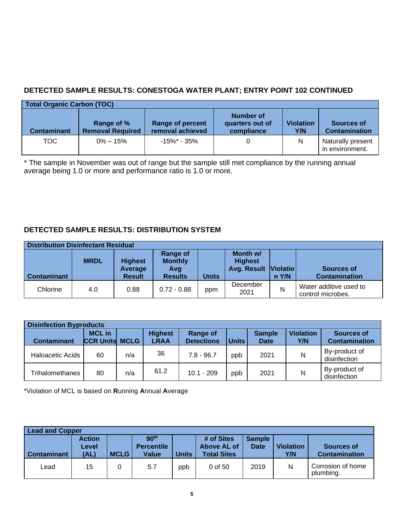## **DETECTED SAMPLE RESULTS: CONESTOGA WATER PLANT; ENTRY POINT 102 CONTINUED**

| Total Organic Carbon (TOC) |                                       |                                             |                                            |                         |                                      |  |  |  |  |  |  |
|----------------------------|---------------------------------------|---------------------------------------------|--------------------------------------------|-------------------------|--------------------------------------|--|--|--|--|--|--|
| <b>Contaminant</b>         | Range of %<br><b>Removal Required</b> | <b>Range of percent</b><br>removal achieved | Number of<br>quarters out of<br>compliance | <b>Violation</b><br>Y/N | Sources of<br><b>Contamination</b>   |  |  |  |  |  |  |
| TOC .                      | $0\% - 15\%$                          | $-15\%$ * - 35%                             |                                            | N                       | Naturally present<br>in environment. |  |  |  |  |  |  |

\* The sample in November was out of range but the sample still met compliance by the running annual average being 1.0 or more and performance ratio is 1.0 or more.

## **DETECTED SAMPLE RESULTS: DISTRIBUTION SYSTEM**

|                    | <b>Distribution Disinfectant Residual</b> |                                            |                                                            |              |                                                    |       |                                             |  |  |  |  |  |
|--------------------|-------------------------------------------|--------------------------------------------|------------------------------------------------------------|--------------|----------------------------------------------------|-------|---------------------------------------------|--|--|--|--|--|
| <b>Contaminant</b> | <b>MRDL</b>                               | <b>Highest</b><br>Average<br><b>Result</b> | <b>Range of</b><br><b>Monthly</b><br>Avg<br><b>Results</b> | <b>Units</b> | Month w/<br><b>Highest</b><br>Avg. Result Violatio | n Y/N | Sources of<br><b>Contamination</b>          |  |  |  |  |  |
| Chlorine           | 4.0                                       | 0.88                                       | $0.72 - 0.88$                                              | ppm          | December<br>2021                                   | N     | Water additive used to<br>control microbes. |  |  |  |  |  |

|                    | <b>Disinfection Byproducts</b>         |     |                               |                               |              |                              |                         |                                    |  |  |  |  |  |
|--------------------|----------------------------------------|-----|-------------------------------|-------------------------------|--------------|------------------------------|-------------------------|------------------------------------|--|--|--|--|--|
| <b>Contaminant</b> | <b>MCL</b> in<br><b>CCR Units MCLG</b> |     | <b>Highest</b><br><b>LRAA</b> | Range of<br><b>Detections</b> | <b>Units</b> | <b>Sample</b><br><b>Date</b> | <b>Violation</b><br>Y/N | Sources of<br><b>Contamination</b> |  |  |  |  |  |
| Haloacetic Acids   | 60                                     | n/a | 36                            | $7.8 - 96.7$                  | ppb          | 2021                         | Ν                       | By-product of<br>disinfection      |  |  |  |  |  |
| Trihalomethanes    | 80                                     | n/a | 61.2                          | $10.1 - 209$                  | ppb          | 2021                         | Ν                       | By-product of<br>disinfection      |  |  |  |  |  |

\*Violation of MCL is based on **R**unning **A**nnual **A**verage

|                    | <b>Lead and Copper</b>         |             |                                                |       |                                                 |                              |                         |                                           |  |  |  |  |
|--------------------|--------------------------------|-------------|------------------------------------------------|-------|-------------------------------------------------|------------------------------|-------------------------|-------------------------------------------|--|--|--|--|
| <b>Contaminant</b> | <b>Action</b><br>Level<br>(AL) | <b>MCLG</b> | 90 <sup>th</sup><br><b>Percentile</b><br>Value | Units | # of Sites<br>Above AL of<br><b>Total Sites</b> | <b>Sample</b><br><b>Date</b> | <b>Violation</b><br>Y/N | <b>Sources of</b><br><b>Contamination</b> |  |  |  |  |
| Lead               | 15                             | 0           | 5.7                                            | ppb   | $0$ of 50                                       | 2019                         | N                       | Corrosion of home<br>plumbing.            |  |  |  |  |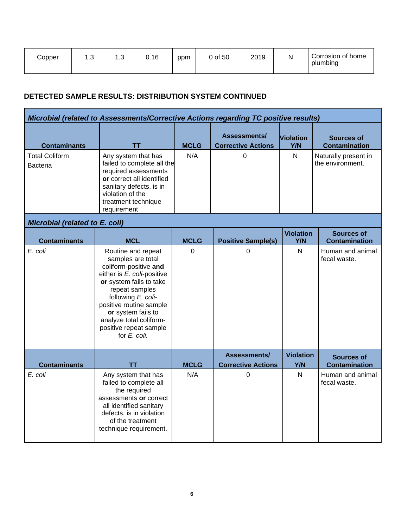| Copper | റ<br>ں. ו | $\sim$<br>ں.ו | 0.16 | ppm | 0 of 50 | 2019 | N | Corrosion of home<br>plumbing |
|--------|-----------|---------------|------|-----|---------|------|---|-------------------------------|
|--------|-----------|---------------|------|-----|---------|------|---|-------------------------------|

## **DETECTED SAMPLE RESULTS: DISTRIBUTION SYSTEM CONTINUED**

| Microbial (related to Assessments/Corrective Actions regarding TC positive results) |                                                                                                                                                                                                                                                                                         |             |                                           |                         |                                           |
|-------------------------------------------------------------------------------------|-----------------------------------------------------------------------------------------------------------------------------------------------------------------------------------------------------------------------------------------------------------------------------------------|-------------|-------------------------------------------|-------------------------|-------------------------------------------|
| <b>Contaminants</b>                                                                 | TΤ                                                                                                                                                                                                                                                                                      | <b>MCLG</b> | Assessments/<br><b>Corrective Actions</b> | <b>Violation</b><br>Y/N | <b>Sources of</b><br><b>Contamination</b> |
| <b>Total Coliform</b><br><b>Bacteria</b>                                            | Any system that has<br>failed to complete all the<br>required assessments<br>or correct all identified<br>sanitary defects, is in<br>violation of the<br>treatment technique<br>requirement                                                                                             | N/A         | $\mathbf 0$                               | $\mathsf{N}$            | Naturally present in<br>the environment.  |
| Microbial (related to E. coli)                                                      |                                                                                                                                                                                                                                                                                         |             |                                           |                         |                                           |
| <b>Contaminants</b>                                                                 | <b>MCL</b>                                                                                                                                                                                                                                                                              | <b>MCLG</b> | <b>Positive Sample(s)</b>                 | <b>Violation</b><br>Y/N | <b>Sources of</b><br><b>Contamination</b> |
| E. coli                                                                             | Routine and repeat<br>samples are total<br>coliform-positive and<br>either is E. coli-positive<br>or system fails to take<br>repeat samples<br>following E. coli-<br>positive routine sample<br>or system fails to<br>analyze total coliform-<br>positive repeat sample<br>for E. coli. | $\Omega$    | 0                                         | $\mathsf{N}$            | Human and animal<br>fecal waste.          |
| <b>Contaminants</b>                                                                 | TΤ                                                                                                                                                                                                                                                                                      | <b>MCLG</b> | Assessments/<br><b>Corrective Actions</b> | <b>Violation</b><br>Y/N | <b>Sources of</b><br><b>Contamination</b> |
| E. coli                                                                             | Any system that has<br>failed to complete all<br>the required<br>assessments or correct<br>all identified sanitary<br>defects, is in violation<br>of the treatment<br>technique requirement.                                                                                            | N/A         | 0                                         | N                       | Human and animal<br>fecal waste.          |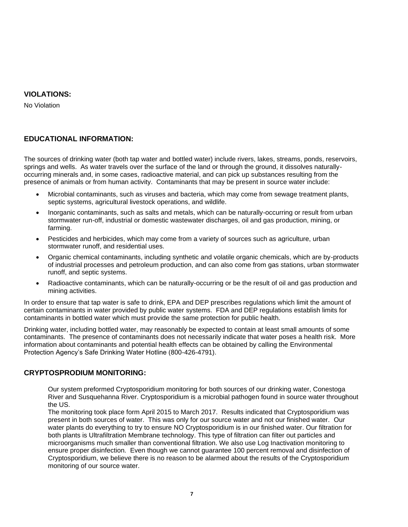#### **VIOLATIONS:**

No Violation

#### **EDUCATIONAL INFORMATION:**

The sources of drinking water (both tap water and bottled water) include rivers, lakes, streams, ponds, reservoirs, springs and wells. As water travels over the surface of the land or through the ground, it dissolves naturallyoccurring minerals and, in some cases, radioactive material, and can pick up substances resulting from the presence of animals or from human activity. Contaminants that may be present in source water include:

- Microbial contaminants, such as viruses and bacteria, which may come from sewage treatment plants, septic systems, agricultural livestock operations, and wildlife.
- Inorganic contaminants, such as salts and metals, which can be naturally-occurring or result from urban stormwater run-off, industrial or domestic wastewater discharges, oil and gas production, mining, or farming.
- Pesticides and herbicides, which may come from a variety of sources such as agriculture, urban stormwater runoff, and residential uses.
- Organic chemical contaminants, including synthetic and volatile organic chemicals, which are by-products of industrial processes and petroleum production, and can also come from gas stations, urban stormwater runoff, and septic systems.
- Radioactive contaminants, which can be naturally-occurring or be the result of oil and gas production and mining activities.

In order to ensure that tap water is safe to drink, EPA and DEP prescribes regulations which limit the amount of certain contaminants in water provided by public water systems. FDA and DEP regulations establish limits for contaminants in bottled water which must provide the same protection for public health.

Drinking water, including bottled water, may reasonably be expected to contain at least small amounts of some contaminants. The presence of contaminants does not necessarily indicate that water poses a health risk. More information about contaminants and potential health effects can be obtained by calling the Environmental Protection Agency's Safe Drinking Water Hotline (800-426-4791).

#### **CRYPTOSPRODIUM MONITORING:**

Our system preformed Cryptosporidium monitoring for both sources of our drinking water, Conestoga River and Susquehanna River. Cryptosporidium is a microbial pathogen found in source water throughout the US.

The monitoring took place form April 2015 to March 2017. Results indicated that Cryptosporidium was present in both sources of water. This was only for our source water and not our finished water. Our water plants do everything to try to ensure NO Cryptosporidium is in our finished water. Our filtration for both plants is Ultrafiltration Membrane technology. This type of filtration can filter out particles and microorganisms much smaller than conventional filtration. We also use Log Inactivation monitoring to ensure proper disinfection. Even though we cannot guarantee 100 percent removal and disinfection of Cryptosporidium, we believe there is no reason to be alarmed about the results of the Cryptosporidium monitoring of our source water.